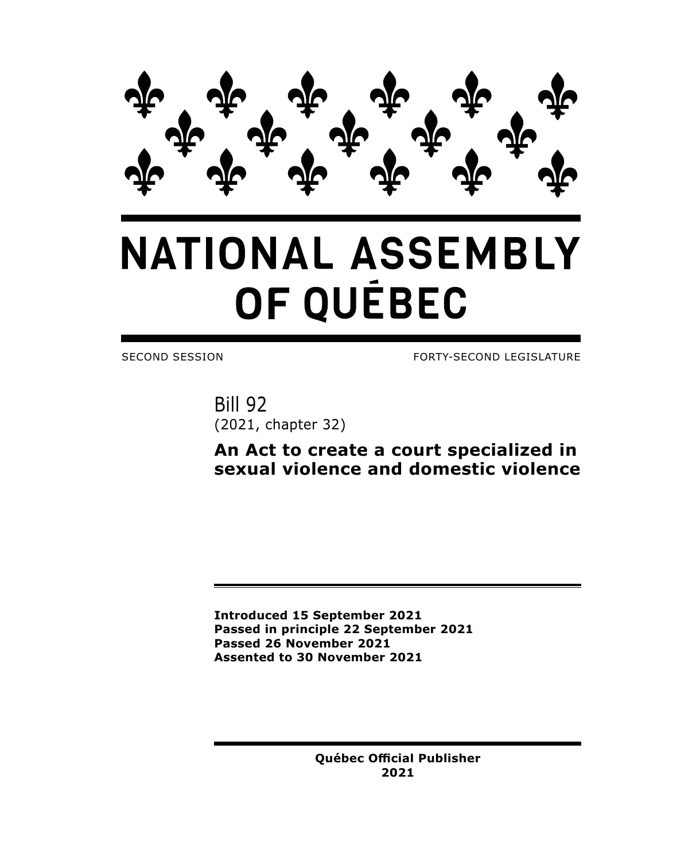

# **NATIONAL ASSEMBLY** OF QUÉBEC

SECOND SESSION FORTY-SECOND LEGISLATURE

Bill 92 (2021, chapter 32)

**An Act to create a court specialized in sexual violence and domestic violence**

**Introduced 15 September 2021 Passed in principle 22 September 2021 Passed 26 November 2021 Assented to 30 November 2021**

> **Québec Official Publisher 2021**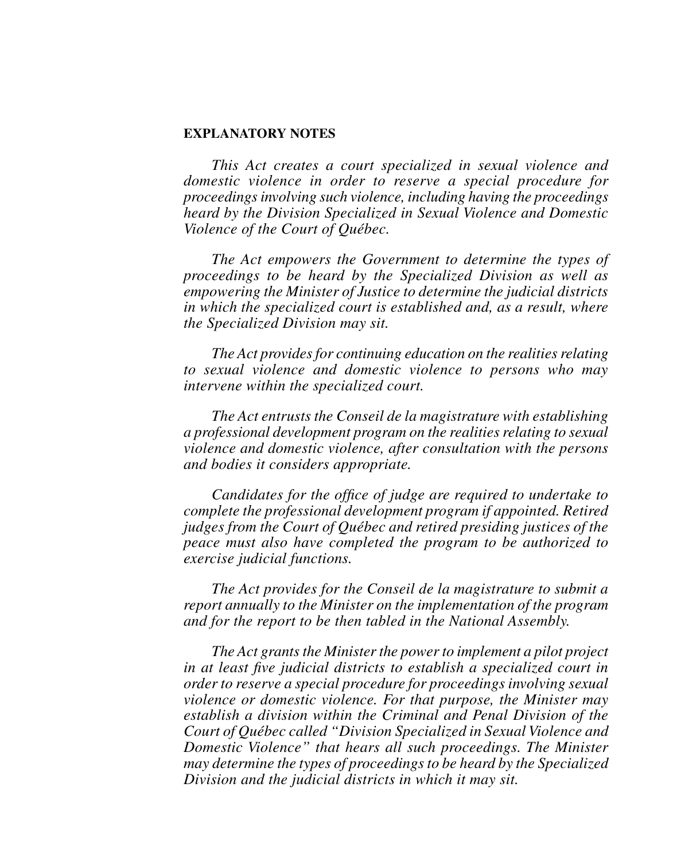# **EXPLANATORY NOTES**

*This Act creates a court specialized in sexual violence and domestic violence in order to reserve a special procedure for proceedings involving such violence, including having the proceedings heard by the Division Specialized in Sexual Violence and Domestic Violence of the Court of Québec.*

*The Act empowers the Government to determine the types of proceedings to be heard by the Specialized Division as well as empowering the Minister of Justice to determine the judicial districts in which the specialized court is established and, as a result, where the Specialized Division may sit.*

*The Act provides for continuing education on the realities relating to sexual violence and domestic violence to persons who may intervene within the specialized court.*

*The Act entrusts the Conseil de la magistrature with establishing a professional development program on the realities relating to sexual violence and domestic violence, after consultation with the persons and bodies it considers appropriate.*

*Candidates for the office of judge are required to undertake to complete the professional development program if appointed. Retired judges from the Court of Québec and retired presiding justices of the peace must also have completed the program to be authorized to exercise judicial functions.*

*The Act provides for the Conseil de la magistrature to submit a report annually to the Minister on the implementation of the program and for the report to be then tabled in the National Assembly.*

*The Act grants the Minister the power to implement a pilot project in at least five judicial districts to establish a specialized court in order to reserve a special procedure for proceedings involving sexual violence or domestic violence. For that purpose, the Minister may establish a division within the Criminal and Penal Division of the Court of Québec called "Division Specialized in Sexual Violence and Domestic Violence" that hears all such proceedings. The Minister may determine the types of proceedings to be heard by the Specialized Division and the judicial districts in which it may sit.*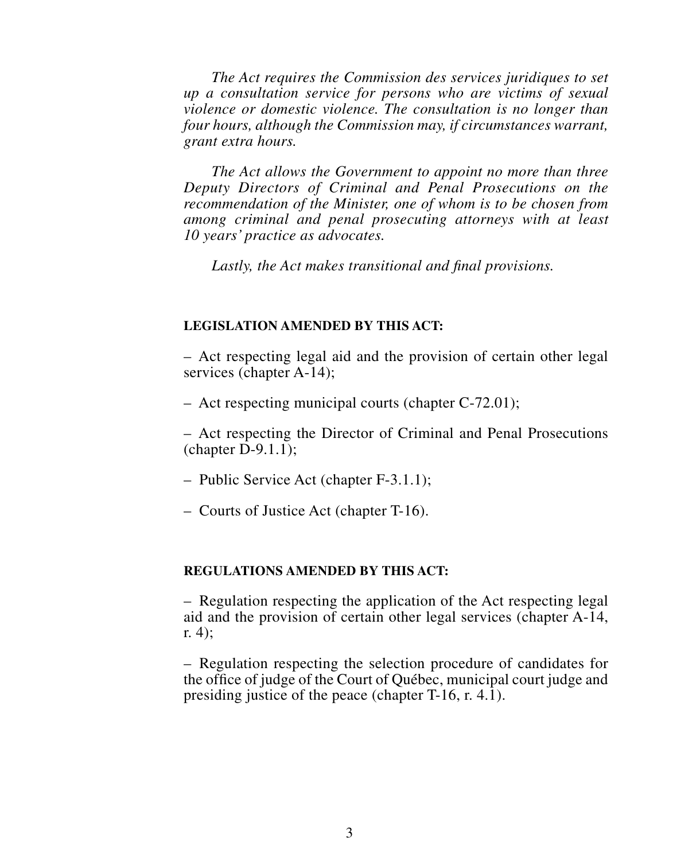*The Act requires the Commission des services juridiques to set up a consultation service for persons who are victims of sexual violence or domestic violence. The consultation is no longer than four hours, although the Commission may, if circumstances warrant, grant extra hours.*

*The Act allows the Government to appoint no more than three Deputy Directors of Criminal and Penal Prosecutions on the recommendation of the Minister, one of whom is to be chosen from among criminal and penal prosecuting attorneys with at least 10 years' practice as advocates.*

*Lastly, the Act makes transitional and final provisions.*

# **LEGISLATION AMENDED BY THIS ACT:**

– Act respecting legal aid and the provision of certain other legal services (chapter A-14);

– Act respecting municipal courts (chapter C-72.01);

– Act respecting the Director of Criminal and Penal Prosecutions (chapter D-9.1.1);

– Public Service Act (chapter F-3.1.1);

– Courts of Justice Act (chapter T-16).

# **REGULATIONS AMENDED BY THIS ACT:**

– Regulation respecting the application of the Act respecting legal aid and the provision of certain other legal services (chapter A-14, r. 4);

– Regulation respecting the selection procedure of candidates for the office of judge of the Court of Québec, municipal court judge and presiding justice of the peace (chapter T-16, r. 4.1).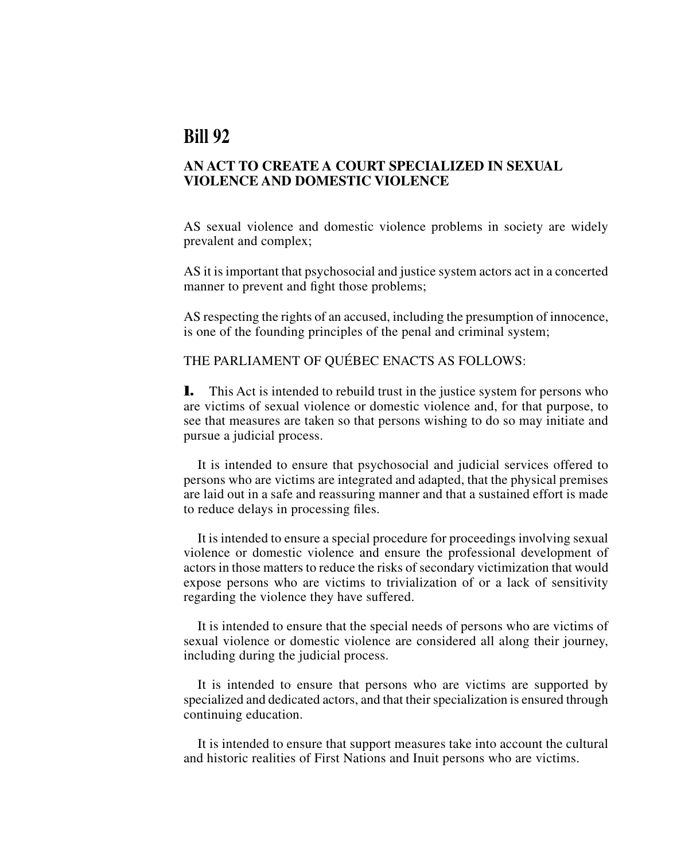# **Bill 92**

# **AN ACT TO CREATE A COURT SPECIALIZED IN SEXUAL VIOLENCE AND DOMESTIC VIOLENCE**

AS sexual violence and domestic violence problems in society are widely prevalent and complex;

AS it is important that psychosocial and justice system actors act in a concerted manner to prevent and fight those problems;

AS respecting the rights of an accused, including the presumption of innocence, is one of the founding principles of the penal and criminal system;

THE PARLIAMENT OF QUÉBEC ENACTS AS FOLLOWS:

**1.** This Act is intended to rebuild trust in the justice system for persons who are victims of sexual violence or domestic violence and, for that purpose, to see that measures are taken so that persons wishing to do so may initiate and pursue a judicial process.

It is intended to ensure that psychosocial and judicial services offered to persons who are victims are integrated and adapted, that the physical premises are laid out in a safe and reassuring manner and that a sustained effort is made to reduce delays in processing files.

It is intended to ensure a special procedure for proceedings involving sexual violence or domestic violence and ensure the professional development of actors in those matters to reduce the risks of secondary victimization that would expose persons who are victims to trivialization of or a lack of sensitivity regarding the violence they have suffered.

It is intended to ensure that the special needs of persons who are victims of sexual violence or domestic violence are considered all along their journey, including during the judicial process.

It is intended to ensure that persons who are victims are supported by specialized and dedicated actors, and that their specialization is ensured through continuing education.

It is intended to ensure that support measures take into account the cultural and historic realities of First Nations and Inuit persons who are victims.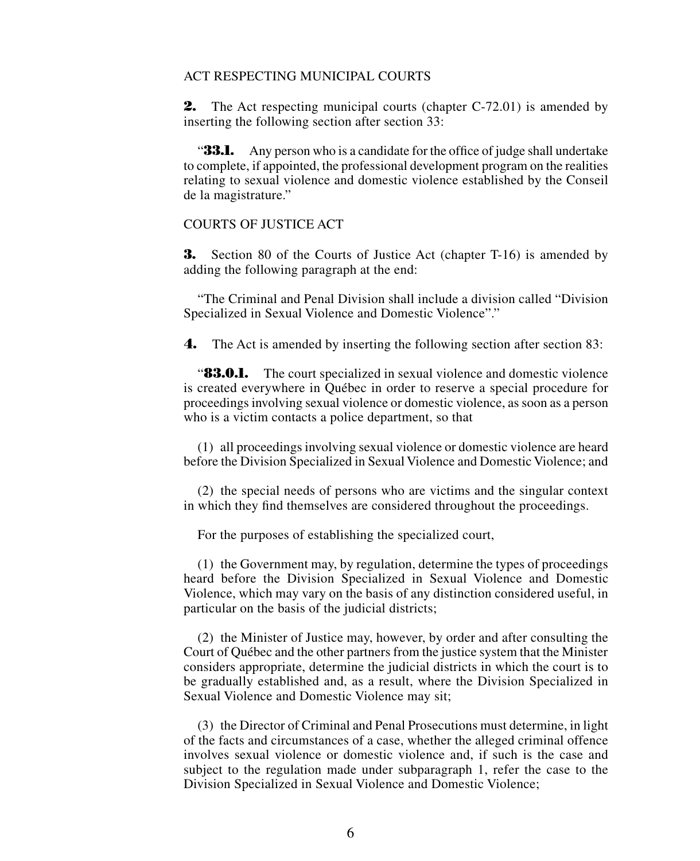#### ACT RESPECTING MUNICIPAL COURTS

**2.** The Act respecting municipal courts (chapter C-72.01) is amended by inserting the following section after section 33:

"**33.1.** Any person who is a candidate for the office of judge shall undertake to complete, if appointed, the professional development program on the realities relating to sexual violence and domestic violence established by the Conseil de la magistrature."

#### COURTS OF JUSTICE ACT

**3.** Section 80 of the Courts of Justice Act (chapter T-16) is amended by adding the following paragraph at the end:

"The Criminal and Penal Division shall include a division called "Division Specialized in Sexual Violence and Domestic Violence"."

**4.** The Act is amended by inserting the following section after section 83:

**83.0.1.** The court specialized in sexual violence and domestic violence is created everywhere in Québec in order to reserve a special procedure for proceedings involving sexual violence or domestic violence, as soon as a person who is a victim contacts a police department, so that

(1) all proceedings involving sexual violence or domestic violence are heard before the Division Specialized in Sexual Violence and Domestic Violence; and

(2) the special needs of persons who are victims and the singular context in which they find themselves are considered throughout the proceedings.

For the purposes of establishing the specialized court,

(1) the Government may, by regulation, determine the types of proceedings heard before the Division Specialized in Sexual Violence and Domestic Violence, which may vary on the basis of any distinction considered useful, in particular on the basis of the judicial districts;

(2) the Minister of Justice may, however, by order and after consulting the Court of Québec and the other partners from the justice system that the Minister considers appropriate, determine the judicial districts in which the court is to be gradually established and, as a result, where the Division Specialized in Sexual Violence and Domestic Violence may sit;

(3) the Director of Criminal and Penal Prosecutions must determine, in light of the facts and circumstances of a case, whether the alleged criminal offence involves sexual violence or domestic violence and, if such is the case and subject to the regulation made under subparagraph 1, refer the case to the Division Specialized in Sexual Violence and Domestic Violence;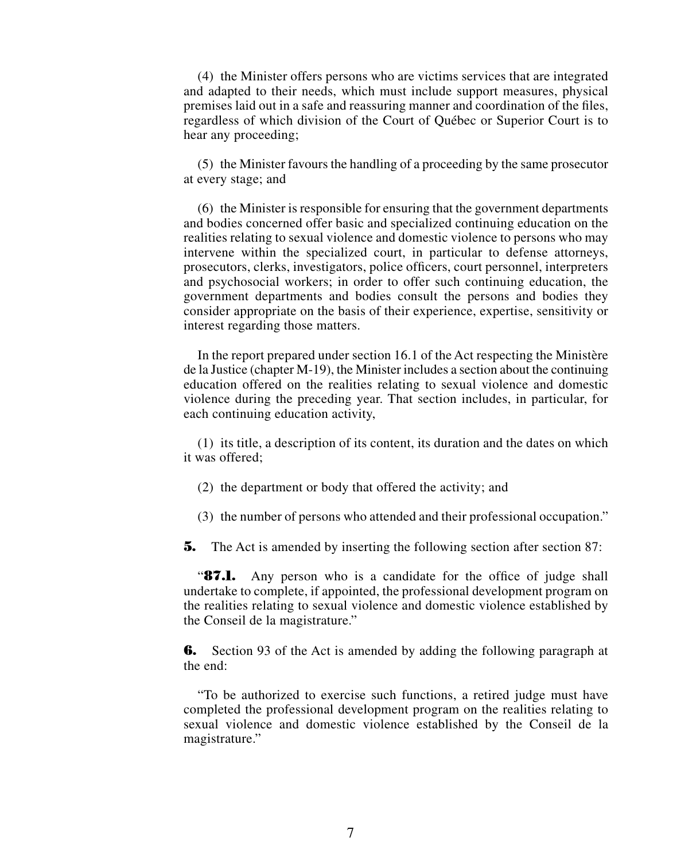(4) the Minister offers persons who are victims services that are integrated and adapted to their needs, which must include support measures, physical premises laid out in a safe and reassuring manner and coordination of the files, regardless of which division of the Court of Québec or Superior Court is to hear any proceeding;

(5) the Minister favours the handling of a proceeding by the same prosecutor at every stage; and

(6) the Minister is responsible for ensuring that the government departments and bodies concerned offer basic and specialized continuing education on the realities relating to sexual violence and domestic violence to persons who may intervene within the specialized court, in particular to defense attorneys, prosecutors, clerks, investigators, police officers, court personnel, interpreters and psychosocial workers; in order to offer such continuing education, the government departments and bodies consult the persons and bodies they consider appropriate on the basis of their experience, expertise, sensitivity or interest regarding those matters.

In the report prepared under section 16.1 of the Act respecting the Ministère de la Justice (chapter M-19), the Minister includes a section about the continuing education offered on the realities relating to sexual violence and domestic violence during the preceding year. That section includes, in particular, for each continuing education activity,

(1) its title, a description of its content, its duration and the dates on which it was offered;

- (2) the department or body that offered the activity; and
- (3) the number of persons who attended and their professional occupation."
- **5.** The Act is amended by inserting the following section after section 87:

**87.1.** Any person who is a candidate for the office of judge shall undertake to complete, if appointed, the professional development program on the realities relating to sexual violence and domestic violence established by the Conseil de la magistrature."

**6.** Section 93 of the Act is amended by adding the following paragraph at the end:

"To be authorized to exercise such functions, a retired judge must have completed the professional development program on the realities relating to sexual violence and domestic violence established by the Conseil de la magistrature."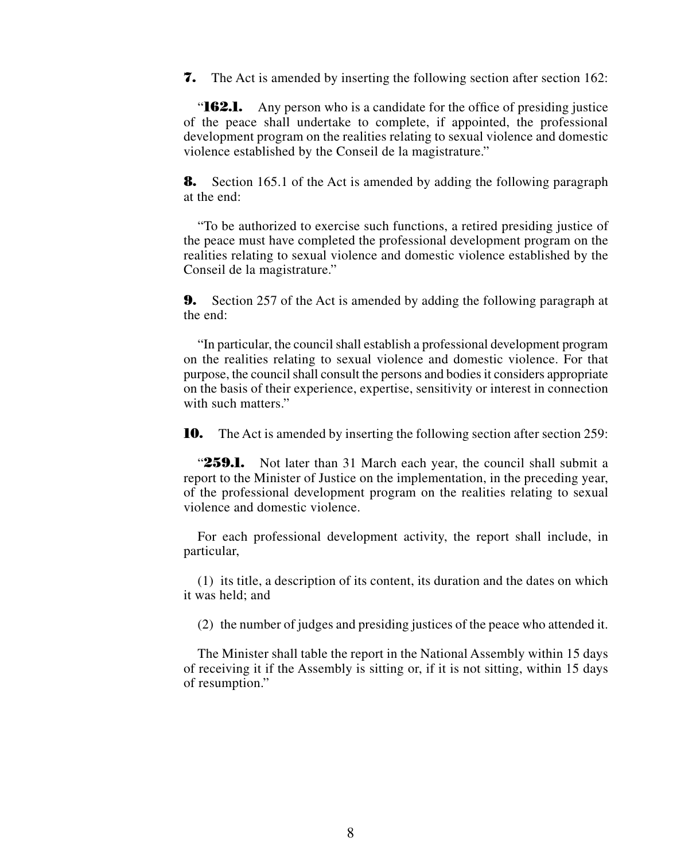**7.** The Act is amended by inserting the following section after section 162:

"**162.1.** Any person who is a candidate for the office of presiding justice of the peace shall undertake to complete, if appointed, the professional development program on the realities relating to sexual violence and domestic violence established by the Conseil de la magistrature."

**8.** Section 165.1 of the Act is amended by adding the following paragraph at the end:

"To be authorized to exercise such functions, a retired presiding justice of the peace must have completed the professional development program on the realities relating to sexual violence and domestic violence established by the Conseil de la magistrature."

**9.** Section 257 of the Act is amended by adding the following paragraph at the end:

"In particular, the council shall establish a professional development program on the realities relating to sexual violence and domestic violence. For that purpose, the council shall consult the persons and bodies it considers appropriate on the basis of their experience, expertise, sensitivity or interest in connection with such matters."

**10.** The Act is amended by inserting the following section after section 259:

**259.1.** Not later than 31 March each year, the council shall submit a report to the Minister of Justice on the implementation, in the preceding year, of the professional development program on the realities relating to sexual violence and domestic violence.

For each professional development activity, the report shall include, in particular,

(1) its title, a description of its content, its duration and the dates on which it was held; and

(2) the number of judges and presiding justices of the peace who attended it.

The Minister shall table the report in the National Assembly within 15 days of receiving it if the Assembly is sitting or, if it is not sitting, within 15 days of resumption."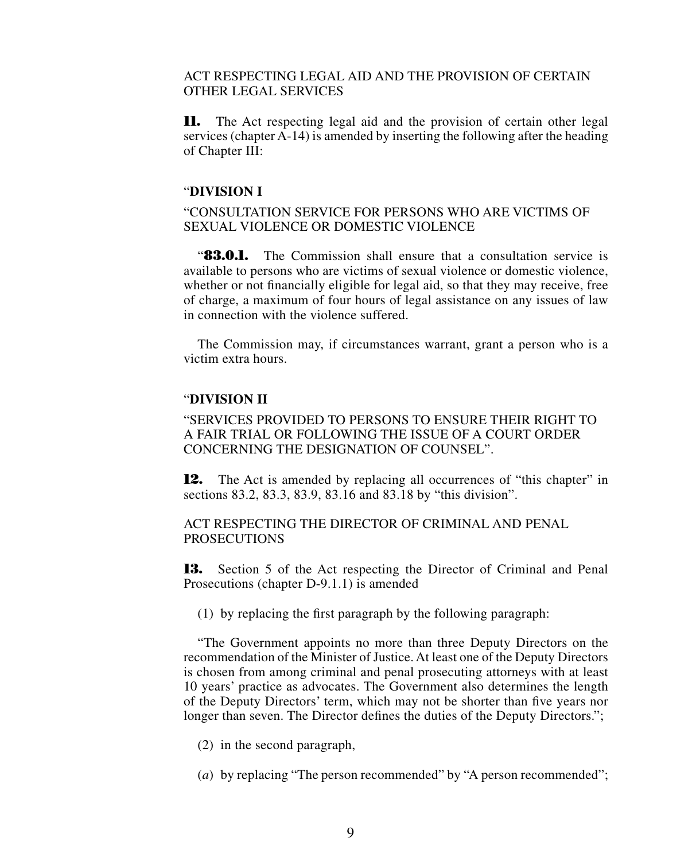# ACT RESPECTING LEGAL AID AND THE PROVISION OF CERTAIN OTHER LEGAL SERVICES

**11.** The Act respecting legal aid and the provision of certain other legal services (chapter A-14) is amended by inserting the following after the heading of Chapter III:

#### "**DIVISION I**

# "CONSULTATION SERVICE FOR PERSONS WHO ARE VICTIMS OF SEXUAL VIOLENCE OR DOMESTIC VIOLENCE

"**83.0.1.** The Commission shall ensure that a consultation service is available to persons who are victims of sexual violence or domestic violence, whether or not financially eligible for legal aid, so that they may receive, free of charge, a maximum of four hours of legal assistance on any issues of law in connection with the violence suffered.

The Commission may, if circumstances warrant, grant a person who is a victim extra hours.

#### "**DIVISION II**

# "SERVICES PROVIDED TO PERSONS TO ENSURE THEIR RIGHT TO A FAIR TRIAL OR FOLLOWING THE ISSUE OF A COURT ORDER CONCERNING THE DESIGNATION OF COUNSEL".

**12.** The Act is amended by replacing all occurrences of "this chapter" in sections 83.2, 83.3, 83.9, 83.16 and 83.18 by "this division".

# ACT RESPECTING THE DIRECTOR OF CRIMINAL AND PENAL PROSECUTIONS

**13.** Section 5 of the Act respecting the Director of Criminal and Penal Prosecutions (chapter D-9.1.1) is amended

(1) by replacing the first paragraph by the following paragraph:

"The Government appoints no more than three Deputy Directors on the recommendation of the Minister of Justice. At least one of the Deputy Directors is chosen from among criminal and penal prosecuting attorneys with at least 10 years' practice as advocates. The Government also determines the length of the Deputy Directors' term, which may not be shorter than five years nor longer than seven. The Director defines the duties of the Deputy Directors.";

- (2) in the second paragraph,
- (*a*) by replacing "The person recommended" by "A person recommended";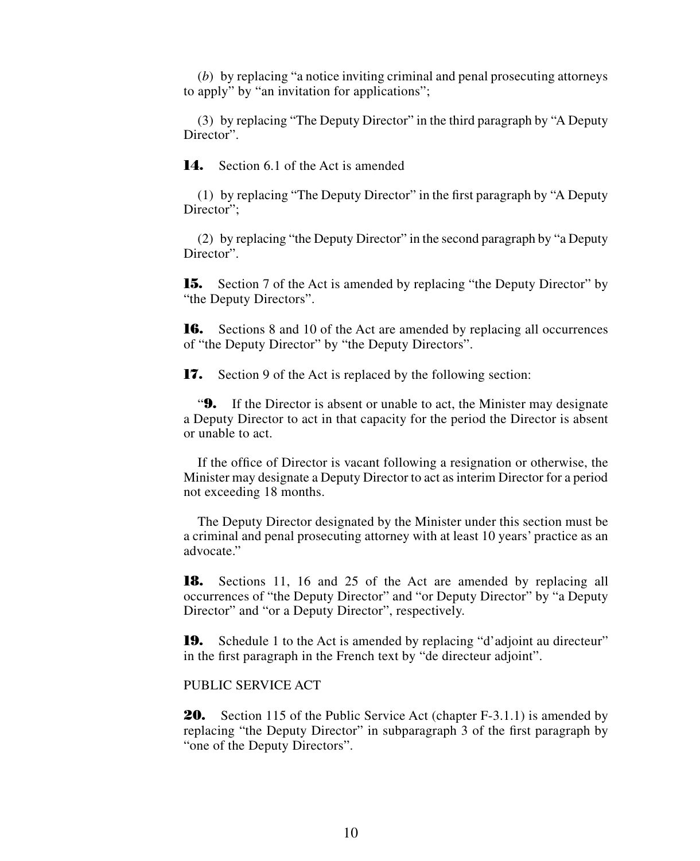(*b*) by replacing "a notice inviting criminal and penal prosecuting attorneys to apply" by "an invitation for applications";

(3) by replacing "The Deputy Director" in the third paragraph by "A Deputy Director".

**14.** Section 6.1 of the Act is amended

(1) by replacing "The Deputy Director" in the first paragraph by "A Deputy Director":

(2) by replacing "the Deputy Director" in the second paragraph by "a Deputy Director".

**15.** Section 7 of the Act is amended by replacing "the Deputy Director" by "the Deputy Directors".

**16.** Sections 8 and 10 of the Act are amended by replacing all occurrences of "the Deputy Director" by "the Deputy Directors".

**17.** Section 9 of the Act is replaced by the following section:

"**9.** If the Director is absent or unable to act, the Minister may designate a Deputy Director to act in that capacity for the period the Director is absent or unable to act.

If the office of Director is vacant following a resignation or otherwise, the Minister may designate a Deputy Director to act as interim Director for a period not exceeding 18 months.

The Deputy Director designated by the Minister under this section must be a criminal and penal prosecuting attorney with at least 10 years' practice as an advocate."

**18.** Sections 11, 16 and 25 of the Act are amended by replacing all occurrences of "the Deputy Director" and "or Deputy Director" by "a Deputy Director" and "or a Deputy Director", respectively.

**19.** Schedule 1 to the Act is amended by replacing "d'adjoint au directeur" in the first paragraph in the French text by "de directeur adjoint".

# PUBLIC SERVICE ACT

**20.** Section 115 of the Public Service Act (chapter F-3.1.1) is amended by replacing "the Deputy Director" in subparagraph 3 of the first paragraph by "one of the Deputy Directors".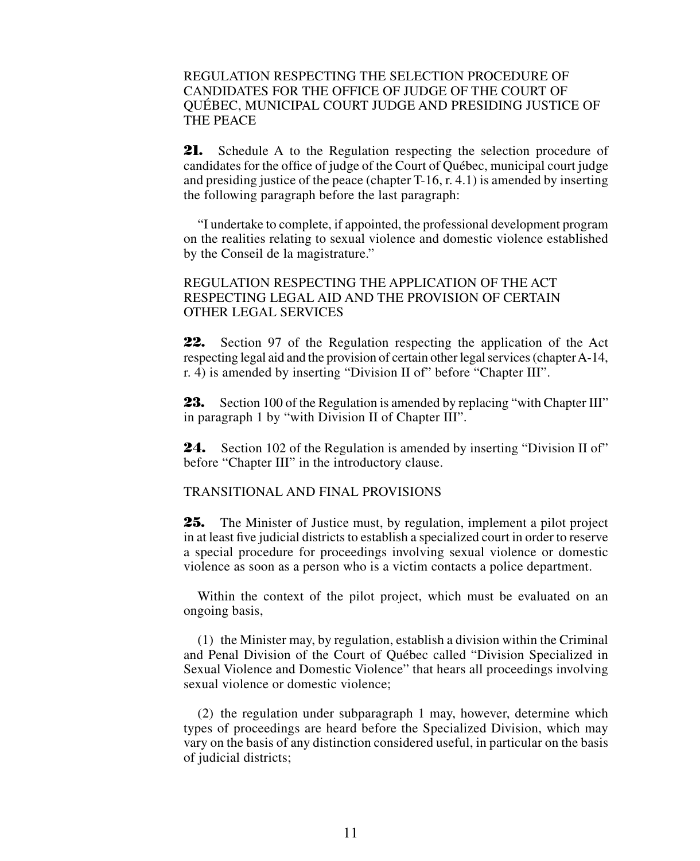# REGULATION RESPECTING THE SELECTION PROCEDURE OF CANDIDATES FOR THE OFFICE OF JUDGE OF THE COURT OF QUÉBEC, MUNICIPAL COURT JUDGE AND PRESIDING JUSTICE OF THE PEACE

**21.** Schedule A to the Regulation respecting the selection procedure of candidates for the office of judge of the Court of Québec, municipal court judge and presiding justice of the peace (chapter T-16, r. 4.1) is amended by inserting the following paragraph before the last paragraph:

"I undertake to complete, if appointed, the professional development program on the realities relating to sexual violence and domestic violence established by the Conseil de la magistrature."

# REGULATION RESPECTING THE APPLICATION OF THE ACT RESPECTING LEGAL AID AND THE PROVISION OF CERTAIN OTHER LEGAL SERVICES

**22.** Section 97 of the Regulation respecting the application of the Act respecting legal aid and the provision of certain other legal services (chapterA-14, r. 4) is amended by inserting "Division II of" before "Chapter III".

**23.** Section 100 of the Regulation is amended by replacing "with Chapter III" in paragraph 1 by "with Division II of Chapter III".

**24.** Section 102 of the Regulation is amended by inserting "Division II of" before "Chapter III" in the introductory clause.

# TRANSITIONAL AND FINAL PROVISIONS

**25.** The Minister of Justice must, by regulation, implement a pilot project in at least five judicial districts to establish a specialized court in order to reserve a special procedure for proceedings involving sexual violence or domestic violence as soon as a person who is a victim contacts a police department.

Within the context of the pilot project, which must be evaluated on an ongoing basis,

(1) the Minister may, by regulation, establish a division within the Criminal and Penal Division of the Court of Québec called "Division Specialized in Sexual Violence and Domestic Violence" that hears all proceedings involving sexual violence or domestic violence;

(2) the regulation under subparagraph 1 may, however, determine which types of proceedings are heard before the Specialized Division, which may vary on the basis of any distinction considered useful, in particular on the basis of judicial districts;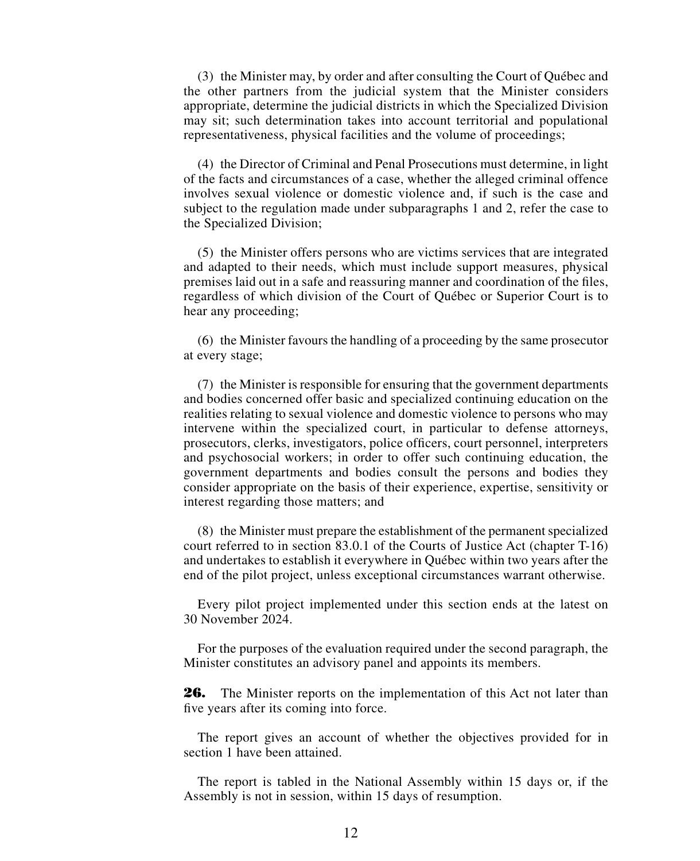(3) the Minister may, by order and after consulting the Court of Québec and the other partners from the judicial system that the Minister considers appropriate, determine the judicial districts in which the Specialized Division may sit; such determination takes into account territorial and populational representativeness, physical facilities and the volume of proceedings;

(4) the Director of Criminal and Penal Prosecutions must determine, in light of the facts and circumstances of a case, whether the alleged criminal offence involves sexual violence or domestic violence and, if such is the case and subject to the regulation made under subparagraphs 1 and 2, refer the case to the Specialized Division;

(5) the Minister offers persons who are victims services that are integrated and adapted to their needs, which must include support measures, physical premises laid out in a safe and reassuring manner and coordination of the files, regardless of which division of the Court of Québec or Superior Court is to hear any proceeding;

(6) the Minister favours the handling of a proceeding by the same prosecutor at every stage;

(7) the Minister is responsible for ensuring that the government departments and bodies concerned offer basic and specialized continuing education on the realities relating to sexual violence and domestic violence to persons who may intervene within the specialized court, in particular to defense attorneys, prosecutors, clerks, investigators, police officers, court personnel, interpreters and psychosocial workers; in order to offer such continuing education, the government departments and bodies consult the persons and bodies they consider appropriate on the basis of their experience, expertise, sensitivity or interest regarding those matters; and

(8) the Minister must prepare the establishment of the permanent specialized court referred to in section 83.0.1 of the Courts of Justice Act (chapter T-16) and undertakes to establish it everywhere in Québec within two years after the end of the pilot project, unless exceptional circumstances warrant otherwise.

Every pilot project implemented under this section ends at the latest on 30 November 2024.

For the purposes of the evaluation required under the second paragraph, the Minister constitutes an advisory panel and appoints its members.

**26.** The Minister reports on the implementation of this Act not later than five years after its coming into force.

The report gives an account of whether the objectives provided for in section 1 have been attained.

The report is tabled in the National Assembly within 15 days or, if the Assembly is not in session, within 15 days of resumption.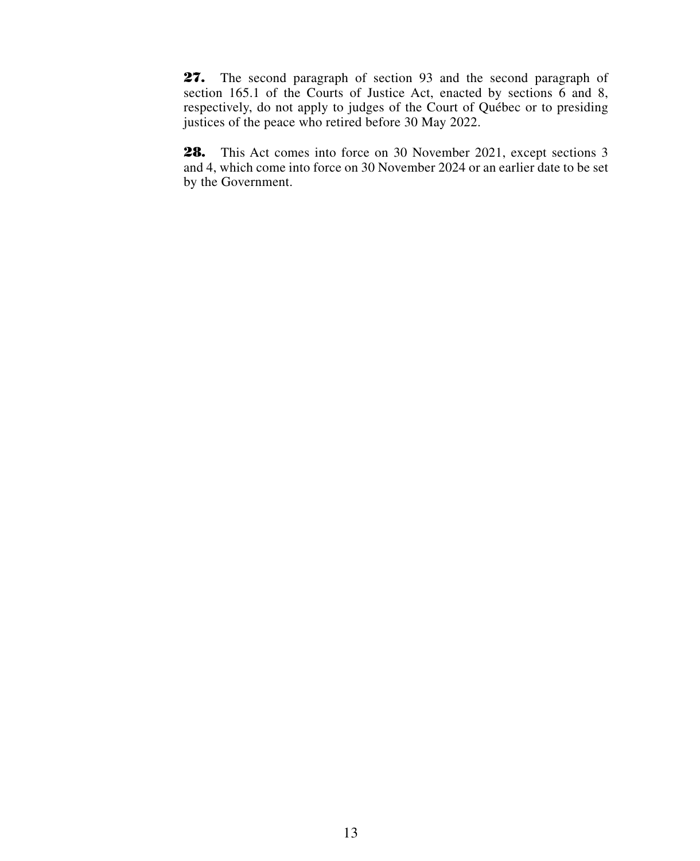**27.** The second paragraph of section 93 and the second paragraph of section 165.1 of the Courts of Justice Act, enacted by sections 6 and 8, respectively, do not apply to judges of the Court of Québec or to presiding justices of the peace who retired before 30 May 2022.

28. This Act comes into force on 30 November 2021, except sections 3 and 4, which come into force on 30 November 2024 or an earlier date to be set by the Government.